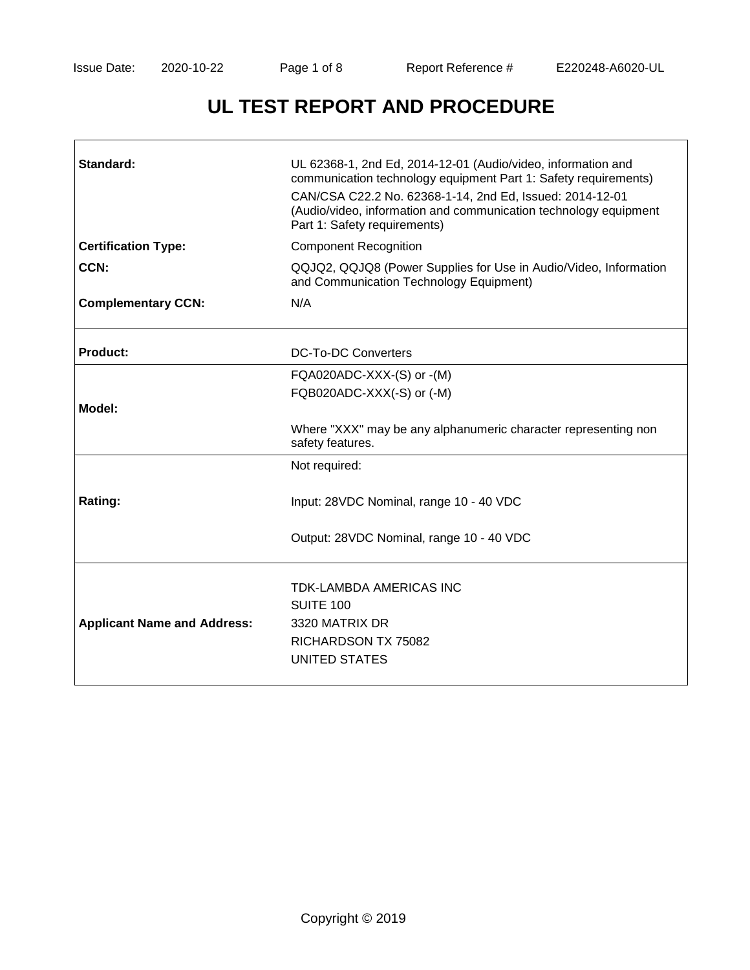# **UL TEST REPORT AND PROCEDURE**

| Standard:                          | UL 62368-1, 2nd Ed, 2014-12-01 (Audio/video, information and<br>communication technology equipment Part 1: Safety requirements)<br>CAN/CSA C22.2 No. 62368-1-14, 2nd Ed, Issued: 2014-12-01<br>(Audio/video, information and communication technology equipment<br>Part 1: Safety requirements) |
|------------------------------------|-------------------------------------------------------------------------------------------------------------------------------------------------------------------------------------------------------------------------------------------------------------------------------------------------|
| <b>Certification Type:</b>         | <b>Component Recognition</b>                                                                                                                                                                                                                                                                    |
| CCN:                               | QQJQ2, QQJQ8 (Power Supplies for Use in Audio/Video, Information<br>and Communication Technology Equipment)                                                                                                                                                                                     |
| <b>Complementary CCN:</b>          | N/A                                                                                                                                                                                                                                                                                             |
| <b>Product:</b>                    | <b>DC-To-DC Converters</b>                                                                                                                                                                                                                                                                      |
|                                    | FQA020ADC-XXX-(S) or -(M)                                                                                                                                                                                                                                                                       |
|                                    | FQB020ADC-XXX(-S) or (-M)                                                                                                                                                                                                                                                                       |
| Model:                             |                                                                                                                                                                                                                                                                                                 |
|                                    | Where "XXX" may be any alphanumeric character representing non<br>safety features.                                                                                                                                                                                                              |
|                                    | Not required:                                                                                                                                                                                                                                                                                   |
| Rating:                            | Input: 28VDC Nominal, range 10 - 40 VDC                                                                                                                                                                                                                                                         |
|                                    | Output: 28VDC Nominal, range 10 - 40 VDC                                                                                                                                                                                                                                                        |
| <b>Applicant Name and Address:</b> | TDK-LAMBDA AMERICAS INC<br>SUITE 100<br>3320 MATRIX DR<br>RICHARDSON TX 75082<br>UNITED STATES                                                                                                                                                                                                  |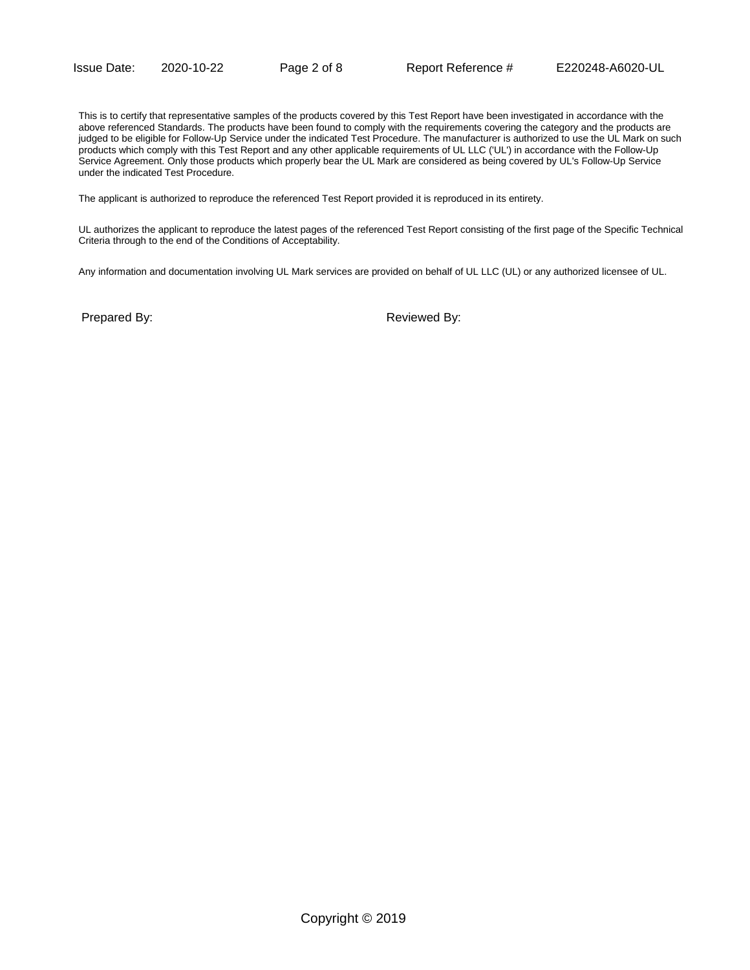This is to certify that representative samples of the products covered by this Test Report have been investigated in accordance with the above referenced Standards. The products have been found to comply with the requirements covering the category and the products are judged to be eligible for Follow-Up Service under the indicated Test Procedure. The manufacturer is authorized to use the UL Mark on such products which comply with this Test Report and any other applicable requirements of UL LLC ('UL') in accordance with the Follow-Up Service Agreement. Only those products which properly bear the UL Mark are considered as being covered by UL's Follow-Up Service under the indicated Test Procedure.

The applicant is authorized to reproduce the referenced Test Report provided it is reproduced in its entirety.

UL authorizes the applicant to reproduce the latest pages of the referenced Test Report consisting of the first page of the Specific Technical Criteria through to the end of the Conditions of Acceptability.

Any information and documentation involving UL Mark services are provided on behalf of UL LLC (UL) or any authorized licensee of UL.

Prepared By: The parent of the Reviewed By: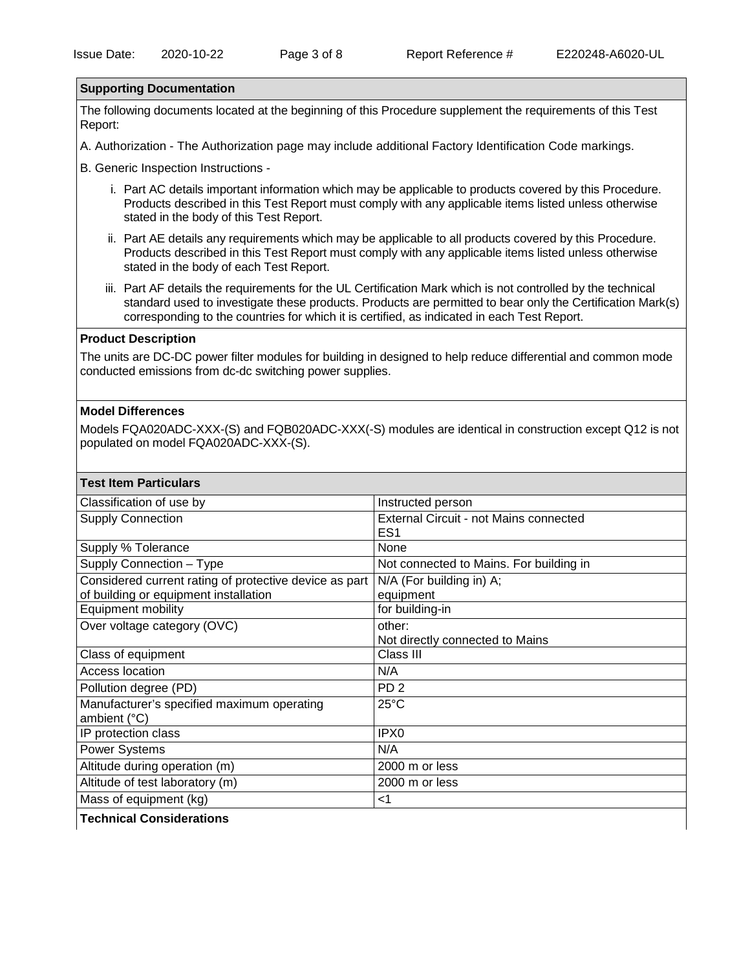### **Supporting Documentation**

The following documents located at the beginning of this Procedure supplement the requirements of this Test Report:

A. Authorization - The Authorization page may include additional Factory Identification Code markings.

B. Generic Inspection Instructions -

- i. Part AC details important information which may be applicable to products covered by this Procedure. Products described in this Test Report must comply with any applicable items listed unless otherwise stated in the body of this Test Report.
- ii. Part AE details any requirements which may be applicable to all products covered by this Procedure. Products described in this Test Report must comply with any applicable items listed unless otherwise stated in the body of each Test Report.
- iii. Part AF details the requirements for the UL Certification Mark which is not controlled by the technical standard used to investigate these products. Products are permitted to bear only the Certification Mark(s) corresponding to the countries for which it is certified, as indicated in each Test Report.

## **Product Description**

The units are DC-DC power filter modules for building in designed to help reduce differential and common mode conducted emissions from dc-dc switching power supplies.

#### **Model Differences**

Models FQA020ADC-XXX-(S) and FQB020ADC-XXX(-S) modules are identical in construction except Q12 is not populated on model FQA020ADC-XXX-(S).

| <b>Test Item Particulars</b>                                                                    |                                                                  |
|-------------------------------------------------------------------------------------------------|------------------------------------------------------------------|
| Classification of use by                                                                        | Instructed person                                                |
| <b>Supply Connection</b>                                                                        | <b>External Circuit - not Mains connected</b><br>ES <sub>1</sub> |
| Supply % Tolerance                                                                              | None                                                             |
| Supply Connection - Type                                                                        | Not connected to Mains. For building in                          |
| Considered current rating of protective device as part<br>of building or equipment installation | N/A (For building in) A;<br>equipment                            |
| Equipment mobility                                                                              | for building-in                                                  |
| Over voltage category (OVC)                                                                     | other:<br>Not directly connected to Mains                        |
| Class of equipment                                                                              | Class III                                                        |
| <b>Access location</b>                                                                          | N/A                                                              |
| Pollution degree (PD)                                                                           | PD <sub>2</sub>                                                  |
| Manufacturer's specified maximum operating<br>ambient (°C)                                      | $25^{\circ}$ C                                                   |
| IP protection class                                                                             | IPX0                                                             |
| <b>Power Systems</b>                                                                            | N/A                                                              |
| Altitude during operation (m)                                                                   | 2000 m or less                                                   |
| Altitude of test laboratory (m)                                                                 | 2000 m or less                                                   |
| Mass of equipment (kg)                                                                          | ا>                                                               |
| <b>Technical Considerations</b>                                                                 |                                                                  |